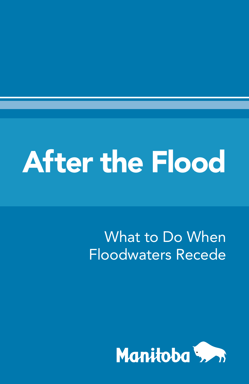# After the Flood

## What to Do When Floodwaters Recede

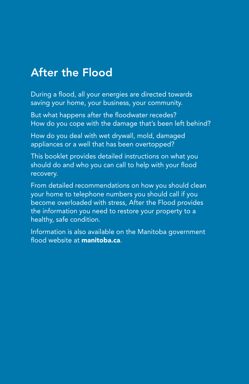## After the Flood

During a flood, all your energies are directed towards saving your home, your business, your community.

But what happens after the floodwater recedes? How do you cope with the damage that's been left behind?

How do you deal with wet drywall, mold, damaged appliances or a well that has been overtopped?

This booklet provides detailed instructions on what you should do and who you can call to help with your flood recovery.

From detailed recommendations on how you should clean your home to telephone numbers you should call if you become overloaded with stress, After the Flood provides the information you need to restore your property to a healthy, safe condition.

Information is also available on the Manitoba government flood website at **manitoba.ca**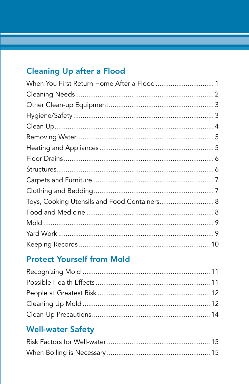#### **Cleaning Up after a Flood**

| When You First Return Home After a Flood 1   |  |
|----------------------------------------------|--|
|                                              |  |
|                                              |  |
|                                              |  |
|                                              |  |
|                                              |  |
|                                              |  |
|                                              |  |
|                                              |  |
|                                              |  |
|                                              |  |
| Toys, Cooking Utensils and Food Containers 8 |  |
|                                              |  |
|                                              |  |
|                                              |  |
|                                              |  |

#### **Protect Yourself from Mold**

#### **Well-water Safety**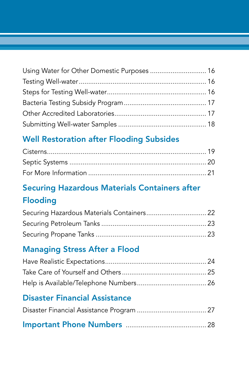| Using Water for Other Domestic Purposes  16 |  |
|---------------------------------------------|--|
|                                             |  |
|                                             |  |
|                                             |  |
|                                             |  |
|                                             |  |

#### Well Restoration after Flooding Subsides

#### Securing Hazardous Materials Containers after Flooding

| Securing Hazardous Materials Containers 22 |  |
|--------------------------------------------|--|
|                                            |  |
|                                            |  |

#### Managing Stress After a Flood

#### Disaster Financial Assistance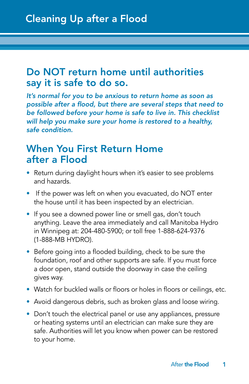#### <span id="page-4-0"></span>Do NOT return home until authorities say it is safe to do so.

*It's normal for you to be anxious to return home as soon as possible after a flood, but there are several steps that need to be followed before your home is safe to live in. This checklist will help you make sure your home is restored to a healthy, safe condition.* 

#### When You First Return Home after a Flood

- Return during daylight hours when it's easier to see problems and hazards.
- If the power was left on when you evacuated, do NOT enter the house until it has been inspected by an electrician.
- If you see a downed power line or smell gas, don't touch anything. Leave the area immediately and call Manitoba Hydro in Winnipeg at: 204-480-5900; or toll free 1-888-624-9376 (1-888-MB HYDRO).
- Before going into a flooded building, check to be sure the foundation, roof and other supports are safe. If you must force a door open, stand outside the doorway in case the ceiling gives way.
- Watch for buckled walls or floors or holes in floors or ceilings, etc.
- Avoid dangerous debris, such as broken glass and loose wiring.
- Don't touch the electrical panel or use any appliances, pressure or heating systems until an electrician can make sure they are safe. Authorities will let you know when power can be restored to your home.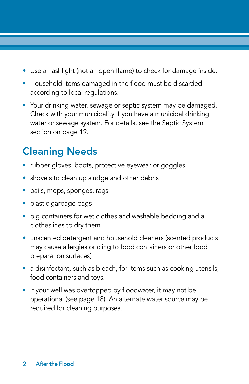- <span id="page-5-0"></span>• Use a flashlight (not an open flame) to check for damage inside.
- Household items damaged in the flood must be discarded according to local regulations.
- Your drinking water, sewage or septic system may be damaged. Check with your municipality if you have a municipal drinking water or sewage system. For details, see the Septic System section on page 19.

## Cleaning Needs

- rubber gloves, boots, protective eyewear or goggles
- shovels to clean up sludge and other debris
- pails, mops, sponges, rags
- plastic garbage bags
- big containers for wet clothes and washable bedding and a clotheslines to dry them
- unscented detergent and household cleaners (scented products may cause allergies or cling to food containers or other food preparation surfaces)
- a disinfectant, such as bleach, for items such as cooking utensils, food containers and toys.
- If your well was overtopped by floodwater, it may not be operational (see page 18). An alternate water source may be required for cleaning purposes.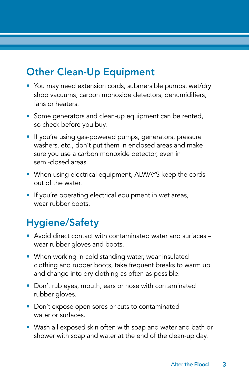#### <span id="page-6-0"></span>Other Clean-Up Equipment

- You may need extension cords, submersible pumps, wet/dry shop vacuums, carbon monoxide detectors, dehumidifiers, fans or heaters.
- Some generators and clean-up equipment can be rented, so check before you buy.
- If you're using gas-powered pumps, generators, pressure washers, etc., don't put them in enclosed areas and make sure you use a carbon monoxide detector, even in semi-closed areas.
- When using electrical equipment, ALWAYS keep the cords out of the water.
- If you're operating electrical equipment in wet areas, wear rubber boots.

## Hygiene/Safety

- Avoid direct contact with contaminated water and surfaces wear rubber gloves and boots.
- When working in cold standing water, wear insulated clothing and rubber boots, take frequent breaks to warm up and change into dry clothing as often as possible.
- Don't rub eyes, mouth, ears or nose with contaminated rubber gloves.
- Don't expose open sores or cuts to contaminated water or surfaces.
- Wash all exposed skin often with soap and water and bath or shower with soap and water at the end of the clean-up day.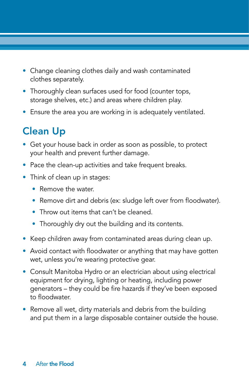- <span id="page-7-0"></span>• Change cleaning clothes daily and wash contaminated clothes separately.
- Thoroughly clean surfaces used for food (counter tops, storage shelves, etc.) and areas where children play.
- Ensure the area you are working in is adequately ventilated.

## Clean Up

- Get your house back in order as soon as possible, to protect your health and prevent further damage.
- Pace the clean-up activities and take frequent breaks.
- Think of clean up in stages:
	- Remove the water
	- Remove dirt and debris (ex: sludge left over from floodwater).
	- Throw out items that can't be cleaned.
	- Thoroughly dry out the building and its contents.
- Keep children away from contaminated areas during clean up.
- Avoid contact with floodwater or anything that may have gotten wet, unless you're wearing protective gear.
- Consult Manitoba Hydro or an electrician about using electrical equipment for drying, lighting or heating, including power generators – they could be fire hazards if they've been exposed to floodwater.
- Remove all wet, dirty materials and debris from the building and put them in a large disposable container outside the house.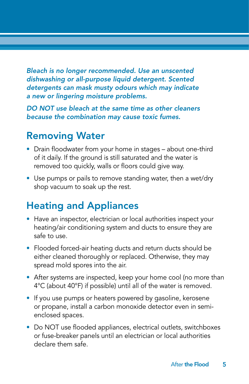<span id="page-8-0"></span>*Bleach is no longer recommended. Use an unscented dishwashing or all-purpose liquid detergent. Scented detergents can mask musty odours which may indicate a new or lingering moisture problems.* 

*DO NOT use bleach at the same time as other cleaners because the combination may cause toxic fumes.*

#### Removing Water

- Drain floodwater from your home in stages about one-third of it daily. If the ground is still saturated and the water is removed too quickly, walls or floors could give way.
- Use pumps or pails to remove standing water, then a wet/dry shop vacuum to soak up the rest.

#### Heating and Appliances

- Have an inspector, electrician or local authorities inspect your heating/air conditioning system and ducts to ensure they are safe to use.
- Flooded forced-air heating ducts and return ducts should be either cleaned thoroughly or replaced. Otherwise, they may spread mold spores into the air.
- After systems are inspected, keep your home cool (no more than 4°C (about 40°F) if possible) until all of the water is removed.
- If you use pumps or heaters powered by gasoline, kerosene or propane, install a carbon monoxide detector even in semienclosed spaces.
- Do NOT use flooded appliances, electrical outlets, switchboxes or fuse-breaker panels until an electrician or local authorities declare them safe.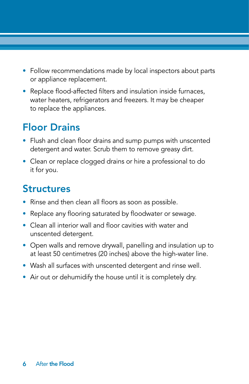- <span id="page-9-0"></span>• Follow recommendations made by local inspectors about parts or appliance replacement.
- Replace flood-affected filters and insulation inside furnaces, water heaters, refrigerators and freezers. It may be cheaper to replace the appliances.

#### Floor Drains

- Flush and clean floor drains and sump pumps with unscented detergent and water. Scrub them to remove greasy dirt.
- Clean or replace clogged drains or hire a professional to do it for you.

#### **Structures**

- Rinse and then clean all floors as soon as possible.
- Replace any flooring saturated by floodwater or sewage.
- Clean all interior wall and floor cavities with water and unscented detergent.
- Open walls and remove drywall, panelling and insulation up to at least 50 centimetres (20 inches) above the high-water line.
- Wash all surfaces with unscented detergent and rinse well.
- Air out or dehumidify the house until it is completely dry.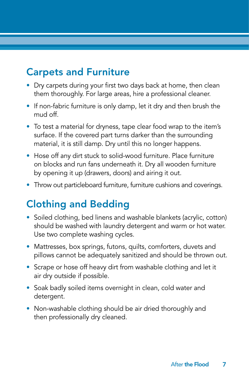#### <span id="page-10-0"></span>Carpets and Furniture

- Dry carpets during your first two days back at home, then clean them thoroughly. For large areas, hire a professional cleaner.
- If non-fabric furniture is only damp, let it dry and then brush the mud off.
- To test a material for dryness, tape clear food wrap to the item's surface. If the covered part turns darker than the surrounding material, it is still damp. Dry until this no longer happens.
- Hose off any dirt stuck to solid-wood furniture. Place furniture on blocks and run fans underneath it. Dry all wooden furniture by opening it up (drawers, doors) and airing it out.
- Throw out particleboard furniture, furniture cushions and coverings.

## Clothing and Bedding

- Soiled clothing, bed linens and washable blankets (acrylic, cotton) should be washed with laundry detergent and warm or hot water. Use two complete washing cycles.
- Mattresses, box springs, futons, quilts, comforters, duvets and pillows cannot be adequately sanitized and should be thrown out.
- Scrape or hose off heavy dirt from washable clothing and let it air dry outside if possible.
- Soak badly soiled items overnight in clean, cold water and detergent.
- Non-washable clothing should be air dried thoroughly and then professionally dry cleaned.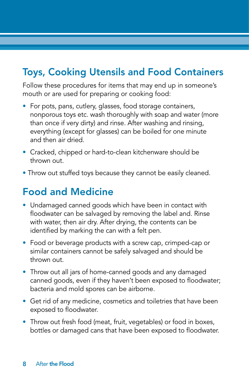#### <span id="page-11-0"></span>Toys, Cooking Utensils and Food Containers

Follow these procedures for items that may end up in someone's mouth or are used for preparing or cooking food:

- For pots, pans, cutlery, glasses, food storage containers, nonporous toys etc. wash thoroughly with soap and water (more than once if very dirty) and rinse. After washing and rinsing, everything (except for glasses) can be boiled for one minute and then air dried.
- Cracked, chipped or hard-to-clean kitchenware should be thrown out.
- Throw out stuffed toys because they cannot be easily cleaned.

#### Food and Medicine

- Undamaged canned goods which have been in contact with floodwater can be salvaged by removing the label and. Rinse with water, then air dry. After drying, the contents can be identified by marking the can with a felt pen.
- Food or beverage products with a screw cap, crimped-cap or similar containers cannot be safely salvaged and should be thrown out.
- Throw out all jars of home-canned goods and any damaged canned goods, even if they haven't been exposed to floodwater; bacteria and mold spores can be airborne.
- Get rid of any medicine, cosmetics and toiletries that have been exposed to floodwater.
- Throw out fresh food (meat, fruit, vegetables) or food in boxes, bottles or damaged cans that have been exposed to floodwater.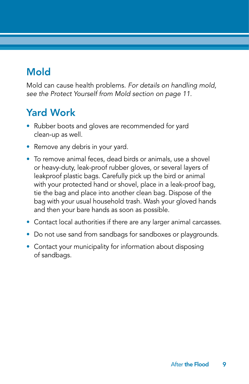## <span id="page-12-0"></span>Mold

Mold can cause health problems. *For details on handling mold, see the Protect Yourself from Mold section on page 11.*

## Yard Work

- Rubber boots and gloves are recommended for yard clean-up as well.
- Remove any debris in your yard.
- To remove animal feces, dead birds or animals, use a shovel or heavy-duty, leak-proof rubber gloves, or several layers of leakproof plastic bags. Carefully pick up the bird or animal with your protected hand or shovel, place in a leak-proof bag, tie the bag and place into another clean bag. Dispose of the bag with your usual household trash. Wash your gloved hands and then your bare hands as soon as possible.
- Contact local authorities if there are any larger animal carcasses.
- Do not use sand from sandbags for sandboxes or playgrounds.
- Contact your municipality for information about disposing of sandbags.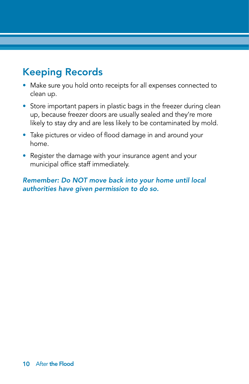#### <span id="page-13-0"></span>Keeping Records

- Make sure you hold onto receipts for all expenses connected to clean up.
- Store important papers in plastic bags in the freezer during clean up, because freezer doors are usually sealed and they're more likely to stay dry and are less likely to be contaminated by mold.
- Take pictures or video of flood damage in and around your home.
- Register the damage with your insurance agent and your municipal office staff immediately.

*Remember: Do NOT move back into your home until local authorities have given permission to do so.*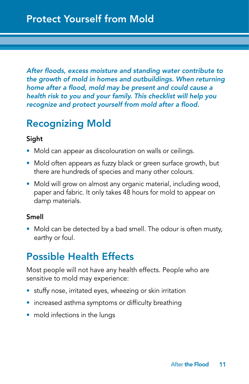<span id="page-14-0"></span>*After floods, excess moisture and standing water contribute to the growth of mold in homes and outbuildings. When returning home after a flood, mold may be present and could cause a health risk to you and your family. This checklist will help you recognize and protect yourself from mold after a flood.*

#### Recognizing Mold

#### Sight

- Mold can appear as discolouration on walls or ceilings.
- Mold often appears as fuzzy black or green surface growth, but there are hundreds of species and many other colours.
- Mold will grow on almost any organic material, including wood, paper and fabric. It only takes 48 hours for mold to appear on damp materials.

#### Smell

• Mold can be detected by a bad smell. The odour is often musty, earthy or foul.

#### Possible Health Effects

Most people will not have any health effects. People who are sensitive to mold may experience:

- stuffy nose, irritated eyes, wheezing or skin irritation
- increased asthma symptoms or difficulty breathing
- mold infections in the lungs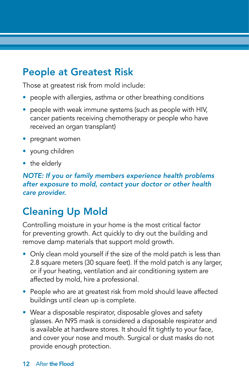#### <span id="page-15-0"></span>People at Greatest Risk

Those at greatest risk from mold include:

- people with allergies, asthma or other breathing conditions
- people with weak immune systems (such as people with HIV, cancer patients receiving chemotherapy or people who have received an organ transplant)
- pregnant women
- young children
- the elderly

*NOTE: If you or family members experience health problems after exposure to mold, contact your doctor or other health care provider.*

## Cleaning Up Mold

Controlling moisture in your home is the most critical factor for preventing growth. Act quickly to dry out the building and remove damp materials that support mold growth.

- Only clean mold yourself if the size of the mold patch is less than 2.8 square meters (30 square feet). If the mold patch is any larger, or if your heating, ventilation and air conditioning system are affected by mold, hire a professional.
- People who are at greatest risk from mold should leave affected buildings until clean up is complete.
- Wear a disposable respirator, disposable gloves and safety glasses. An N95 mask is considered a disposable respirator and is available at hardware stores. It should fit tightly to your face, and cover your nose and mouth. Surgical or dust masks do not provide enough protection.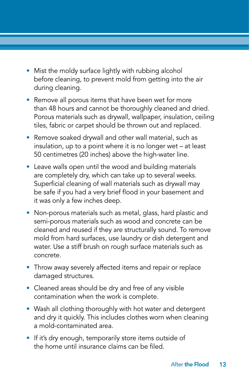- Mist the moldy surface lightly with rubbing alcohol before cleaning, to prevent mold from getting into the air during cleaning.
- Remove all porous items that have been wet for more than 48 hours and cannot be thoroughly cleaned and dried. Porous materials such as drywall, wallpaper, insulation, ceiling tiles, fabric or carpet should be thrown out and replaced.
- Remove soaked drywall and other wall material, such as insulation, up to a point where it is no longer wet – at least 50 centimetres (20 inches) above the high-water line.
- Leave walls open until the wood and building materials are completely dry, which can take up to several weeks. Superficial cleaning of wall materials such as drywall may be safe if you had a very brief flood in your basement and it was only a few inches deep.
- Non-porous materials such as metal, glass, hard plastic and semi-porous materials such as wood and concrete can be cleaned and reused if they are structurally sound. To remove mold from hard surfaces, use laundry or dish detergent and water. Use a stiff brush on rough surface materials such as concrete.
- Throw away severely affected items and repair or replace damaged structures.
- Cleaned areas should be dry and free of any visible contamination when the work is complete.
- Wash all clothing thoroughly with hot water and detergent and dry it quickly. This includes clothes worn when cleaning a mold-contaminated area.
- If it's dry enough, temporarily store items outside of the home until insurance claims can be filed.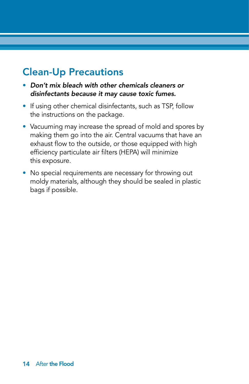#### <span id="page-17-0"></span>Clean-Up Precautions

- *Don't mix bleach with other chemicals cleaners or disinfectants because it may cause toxic fumes.*
- If using other chemical disinfectants, such as TSP, follow the instructions on the package.
- Vacuuming may increase the spread of mold and spores by making them go into the air. Central vacuums that have an exhaust flow to the outside, or those equipped with high efficiency particulate air filters (HEPA) will minimize this exposure.
- No special requirements are necessary for throwing out moldy materials, although they should be sealed in plastic bags if possible.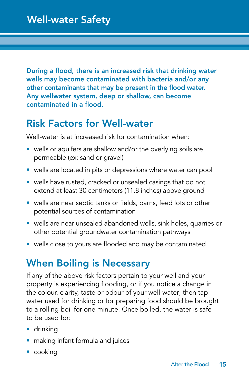<span id="page-18-0"></span>During a flood, there is an increased risk that drinking water wells may become contaminated with bacteria and/or any other contaminants that may be present in the flood water. Any wellwater system, deep or shallow, can become contaminated in a flood.

#### Risk Factors for Well-water

Well-water is at increased risk for contamination when:

- wells or aquifers are shallow and/or the overlying soils are permeable (ex: sand or gravel)
- wells are located in pits or depressions where water can pool
- wells have rusted, cracked or unsealed casings that do not extend at least 30 centimeters (11.8 inches) above ground
- wells are near septic tanks or fields, barns, feed lots or other potential sources of contamination
- wells are near unsealed abandoned wells, sink holes, quarries or other potential groundwater contamination pathways
- wells close to yours are flooded and may be contaminated

#### When Boiling is Necessary

If any of the above risk factors pertain to your well and your property is experiencing flooding, or if you notice a change in the colour, clarity, taste or odour of your well-water; then tap water used for drinking or for preparing food should be brought to a rolling boil for one minute. Once boiled, the water is safe to be used for:

- drinking
- making infant formula and juices
- cooking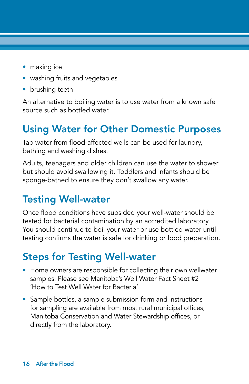- <span id="page-19-0"></span>• making ice
- washing fruits and vegetables
- brushing teeth

An alternative to boiling water is to use water from a known safe source such as bottled water.

## Using Water for Other Domestic Purposes

Tap water from flood-affected wells can be used for laundry, bathing and washing dishes.

Adults, teenagers and older children can use the water to shower but should avoid swallowing it. Toddlers and infants should be sponge-bathed to ensure they don't swallow any water.

#### Testing Well-water

Once flood conditions have subsided your well-water should be tested for bacterial contamination by an accredited laboratory. You should continue to boil your water or use bottled water until testing confirms the water is safe for drinking or food preparation.

#### Steps for Testing Well-water

- Home owners are responsible for collecting their own wellwater samples. Please see Manitoba's Well Water Fact Sheet #2 'How to Test Well Water for Bacteria'.
- Sample bottles, a sample submission form and instructions for sampling are available from most rural municipal offices, Manitoba Conservation and Water Stewardship offices, or directly from the laboratory.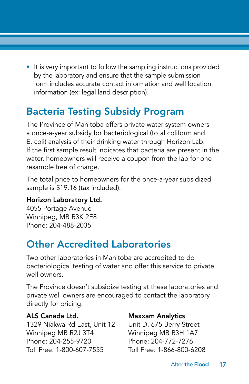<span id="page-20-0"></span>• It is very important to follow the sampling instructions provided by the laboratory and ensure that the sample submission form includes accurate contact information and well location information (ex: legal land description).

#### Bacteria Testing Subsidy Program

The Province of Manitoba offers private water system owners a once-a-year subsidy for bacteriological (total coliform and E. coli) analysis of their drinking water through Horizon Lab. If the first sample result indicates that bacteria are present in the water, homeowners will receive a coupon from the lab for one resample free of charge.

The total price to homeowners for the once-a-year subsidized sample is \$19.16 (tax included).

#### Horizon Laboratory Ltd.

4055 Portage Avenue Winnipeg, MB R3K 2E8 Phone: 204-488-2035

#### Other Accredited Laboratories

Two other laboratories in Manitoba are accredited to do bacteriological testing of water and offer this service to private well owners.

The Province doesn't subsidize testing at these laboratories and private well owners are encouraged to contact the laboratory directly for pricing.

#### ALS Canada Ltd.

1329 Niakwa Rd East, Unit 12 Winnipeg MB R2J 3T4 Phone: 204-255-9720 Toll Free: 1-800-607-7555

#### Maxxam Analytics

Unit D, 675 Berry Street Winnipeg MB R3H 1A7 Phone: 204-772-7276 Toll Free: 1-866-800-6208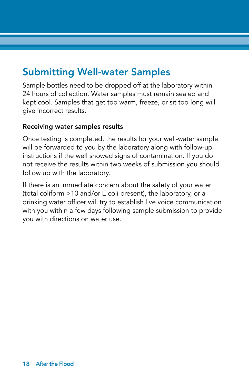#### <span id="page-21-0"></span>Submitting Well-water Samples

Sample bottles need to be dropped off at the laboratory within 24 hours of collection. Water samples must remain sealed and kept cool. Samples that get too warm, freeze, or sit too long will give incorrect results.

#### Receiving water samples results

Once testing is completed, the results for your well-water sample will be forwarded to you by the laboratory along with follow-up instructions if the well showed signs of contamination. If you do not receive the results within two weeks of submission you should follow up with the laboratory.

If there is an immediate concern about the safety of your water (total coliform >10 and/or E.coli present), the laboratory, or a drinking water officer will try to establish live voice communication with you within a few days following sample submission to provide you with directions on water use.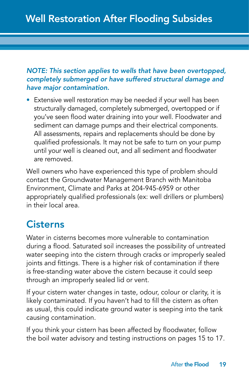#### <span id="page-22-0"></span>*NOTE: This section applies to wells that have been overtopped, completely submerged or have suffered structural damage and have major contamination.*

• Extensive well restoration may be needed if your well has been structurally damaged, completely submerged, overtopped or if you've seen flood water draining into your well. Floodwater and sediment can damage pumps and their electrical components. All assessments, repairs and replacements should be done by qualified professionals. It may not be safe to turn on your pump until your well is cleaned out, and all sediment and floodwater are removed.

Well owners who have experienced this type of problem should contact the Groundwater Management Branch with Manitoba Environment, Climate and Parks at 204-945-6959 or other appropriately qualified professionals (ex: well drillers or plumbers) in their local area.

#### **Cisterns**

Water in cisterns becomes more vulnerable to contamination during a flood. Saturated soil increases the possibility of untreated water seeping into the cistern through cracks or improperly sealed joints and fittings. There is a higher risk of contamination if there is free-standing water above the cistern because it could seep through an improperly sealed lid or vent.

If your cistern water changes in taste, odour, colour or clarity, it is likely contaminated. If you haven't had to fill the cistern as often as usual, this could indicate ground water is seeping into the tank causing contamination.

If you think your cistern has been affected by floodwater, follow the boil water advisory and testing instructions on pages 15 to 17.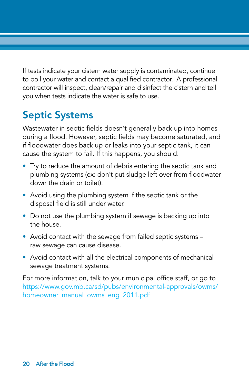<span id="page-23-0"></span>If tests indicate your cistern water supply is contaminated, continue to boil your water and contact a qualified contractor. A professional contractor will inspect, clean/repair and disinfect the cistern and tell you when tests indicate the water is safe to use.

### Septic Systems

Wastewater in septic fields doesn't generally back up into homes during a flood. However, septic fields may become saturated, and if floodwater does back up or leaks into your septic tank, it can cause the system to fail. If this happens, you should:

- Try to reduce the amount of debris entering the septic tank and plumbing systems (ex: don't put sludge left over from floodwater down the drain or toilet).
- Avoid using the plumbing system if the septic tank or the disposal field is still under water.
- Do not use the plumbing system if sewage is backing up into the house.
- Avoid contact with the sewage from failed septic systems raw sewage can cause disease.
- Avoid contact with all the electrical components of mechanical sewage treatment systems.

For more information, talk to your municipal office staff, or go to https://www.gov.mb.ca/sd/pubs/environmental-approvals/owms/ homeowner\_manual\_owms\_eng\_2011.pdf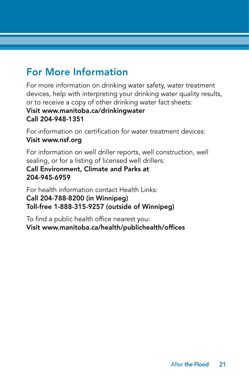### <span id="page-24-0"></span>For More Information

For more information on drinking water safety, water treatment devices, help with interpreting your drinking water quality results, or to receive a copy of other drinking water fact sheets:

Visit www.manitoba.ca/drinkingwater Call 204-948-1351

For information on certification for water treatment devices: Visit www.nsf.org

For information on well driller reports, well construction, well sealing, or for a listing of licensed well drillers:

Call Environment, Climate and Parks at 204-945-6959

For health information contact Health Links: Call 204-788-8200 (in Winnipeg) Toll-free 1-888-315-9257 (outside of Winnipeg)

To find a public health office nearest you: Visit www.manitoba.ca/health/publichealth/offices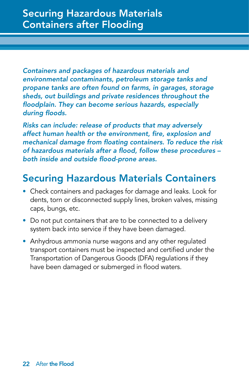<span id="page-25-0"></span>*Containers and packages of hazardous materials and environmental contaminants, petroleum storage tanks and propane tanks are often found on farms, in garages, storage sheds, out buildings and private residences throughout the floodplain. They can become serious hazards, especially during floods.* 

*Risks can include: release of products that may adversely affect human health or the environment, fire, explosion and mechanical damage from floating containers. To reduce the risk of hazardous materials after a flood, follow these procedures – both inside and outside flood-prone areas.* 

#### Securing Hazardous Materials Containers

- Check containers and packages for damage and leaks. Look for dents, torn or disconnected supply lines, broken valves, missing caps, bungs, etc.
- Do not put containers that are to be connected to a delivery system back into service if they have been damaged.
- Anhydrous ammonia nurse wagons and any other regulated transport containers must be inspected and certified under the Transportation of Dangerous Goods (DFA) regulations if they have been damaged or submerged in flood waters.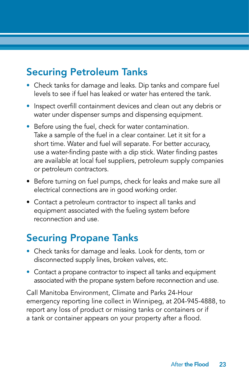#### <span id="page-26-0"></span>Securing Petroleum Tanks

- Check tanks for damage and leaks. Dip tanks and compare fuel levels to see if fuel has leaked or water has entered the tank.
- Inspect overfill containment devices and clean out any debris or water under dispenser sumps and dispensing equipment.
- Before using the fuel, check for water contamination. Take a sample of the fuel in a clear container. Let it sit for a short time. Water and fuel will separate. For better accuracy, use a water-finding paste with a dip stick. Water finding pastes are available at local fuel suppliers, petroleum supply companies or petroleum contractors.
- Before turning on fuel pumps, check for leaks and make sure all electrical connections are in good working order.
- Contact a petroleum contractor to inspect all tanks and equipment associated with the fueling system before reconnection and use.

#### Securing Propane Tanks

- Check tanks for damage and leaks. Look for dents, torn or disconnected supply lines, broken valves, etc.
- Contact a propane contractor to inspect all tanks and equipment associated with the propane system before reconnection and use.

Call Manitoba Environment, Climate and Parks 24-Hour emergency reporting line collect in Winnipeg, at 204-945-4888, to report any loss of product or missing tanks or containers or if a tank or container appears on your property after a flood.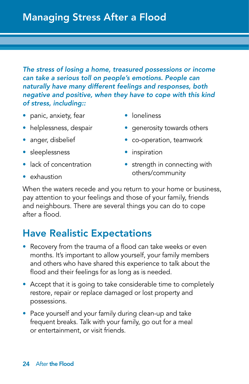<span id="page-27-0"></span>*The stress of losing a home, treasured possessions or income can take a serious toll on people's emotions. People can naturally have many different feelings and responses, both negative and positive, when they have to cope with this kind of stress, including::* 

- panic, anxiety, fear
- helplessness, despair
- anger, disbelief
- sleeplessness
- lack of concentration
- loneliness
- generosity towards others
- co-operation, teamwork
- **•** inspiration
- strength in connecting with others/community

• exhaustion

When the waters recede and you return to your home or business, pay attention to your feelings and those of your family, friends and neighbours. There are several things you can do to cope after a flood.

#### Have Realistic Expectations

- Recovery from the trauma of a flood can take weeks or even months. It's important to allow yourself, your family members and others who have shared this experience to talk about the flood and their feelings for as long as is needed.
- Accept that it is going to take considerable time to completely restore, repair or replace damaged or lost property and possessions.
- Pace yourself and your family during clean-up and take frequent breaks. Talk with your family, go out for a meal or entertainment, or visit friends.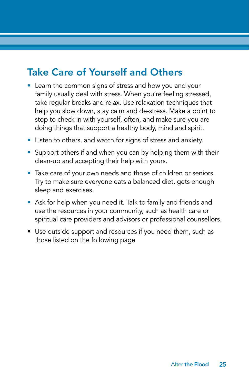#### <span id="page-28-0"></span>Take Care of Yourself and Others

- Learn the common signs of stress and how you and your family usually deal with stress. When you're feeling stressed, take regular breaks and relax. Use relaxation techniques that help you slow down, stay calm and de-stress. Make a point to stop to check in with yourself, often, and make sure you are doing things that support a healthy body, mind and spirit.
- Listen to others, and watch for signs of stress and anxiety.
- Support others if and when you can by helping them with their clean-up and accepting their help with yours.
- Take care of your own needs and those of children or seniors. Try to make sure everyone eats a balanced diet, gets enough sleep and exercises.
- Ask for help when you need it. Talk to family and friends and use the resources in your community, such as health care or spiritual care providers and advisors or professional counsellors.
- Use outside support and resources if you need them, such as those listed on the following page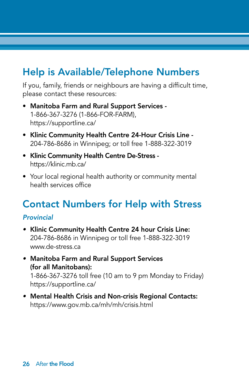#### <span id="page-29-0"></span>Help is Available/Telephone Numbers

If you, family, friends or neighbours are having a difficult time, please contact these resources:

- Manitoba Farm and Rural Support Services 1-866-367-3276 (1-866-FOR-FARM), https://supportline.ca/
- Klinic Community Health Centre 24-Hour Crisis Line 204-786-8686 in Winnipeg; or toll free 1-888-322-3019
- Klinic Community Health Centre De-Stress https://klinic.mb.ca/
- Your local regional health authority or community mental health services office

#### Contact Numbers for Help with Stress

#### *Provincial*

- *•* Klinic Community Health Centre 24 hour Crisis Line: 204-786-8686 in Winnipeg or toll free 1-888-322-3019 www.de-stress.ca
- *•* Manitoba Farm and Rural Support Services (for all Manitobans): 1-866-367-3276 toll free (10 am to 9 pm Monday to Friday) https://supportline.ca/
- *•* Mental Health Crisis and Non-crisis Regional Contacts: https://www.gov.mb.ca/mh/mh/crisis.html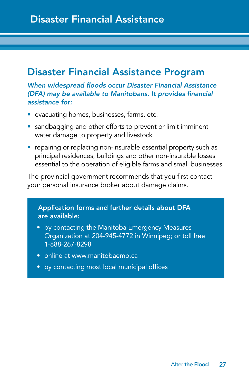#### <span id="page-30-0"></span>Disaster Financial Assistance Program

*When widespread floods occur Disaster Financial Assistance (DFA) may be available to Manitobans. It provides financial assistance for:* 

- evacuating homes, businesses, farms, etc.
- sandbagging and other efforts to prevent or limit imminent water damage to property and livestock
- repairing or replacing non-insurable essential property such as principal residences, buildings and other non-insurable losses essential to the operation of eligible farms and small businesses

The provincial government recommends that you first contact your personal insurance broker about damage claims.

Application forms and further details about DFA are available:

- by contacting the Manitoba Emergency Measures Organization at 204-945-4772 in Winnipeg; or toll free 1-888-267-8298
- online at www.manitobaemo.ca
- by contacting most local municipal offices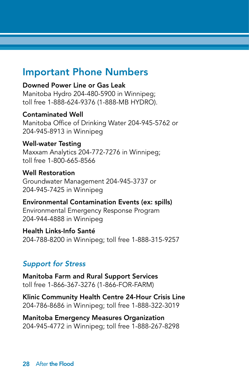#### <span id="page-31-0"></span>Important Phone Numbers

Downed Power Line or Gas Leak Manitoba Hydro 204-480-5900 in Winnipeg; toll free 1-888-624-9376 (1-888-MB HYDRO).

Contaminated Well Manitoba Office of Drinking Water 204-945-5762 or 204-945-8913 in Winnipeg

#### Well-water Testing

Maxxam Analytics 204-772-7276 in Winnipeg; toll free 1-800-665-8566

Well Restoration

Groundwater Management 204-945-3737 or 204-945-7425 in Winnipeg

Environmental Contamination Events (ex: spills) Environmental Emergency Response Program 204-944-4888 in Winnipeg

Health Links-Info Santé 204-788-8200 in Winnipeg; toll free 1-888-315-9257

#### *Support for Stress*

Manitoba Farm and Rural Support Services toll free 1-866-367-3276 (1-866-FOR-FARM)

Klinic Community Health Centre 24-Hour Crisis Line 204-786-8686 in Winnipeg; toll free 1-888-322-3019

Manitoba Emergency Measures Organization 204-945-4772 in Winnipeg; toll free 1-888-267-8298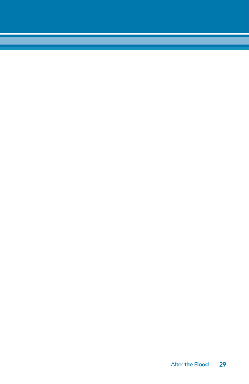After the Flood 29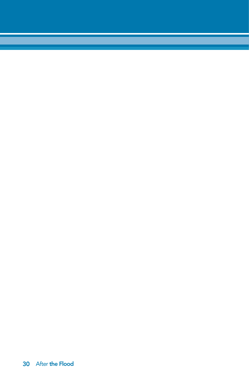After the Flood